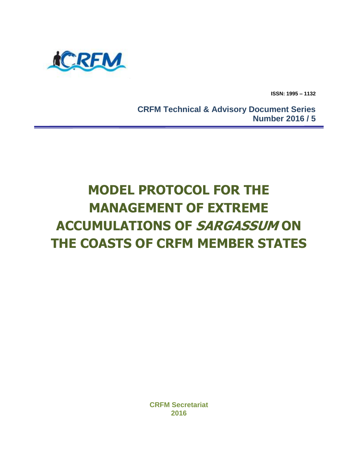

**ISSN: 1995 – 1132**

 **CRFM Technical & Advisory Document Series Number 2016 / 5**

# **MODEL PROTOCOL FOR THE MANAGEMENT OF EXTREME ACCUMULATIONS OF SARGASSUM ON THE COASTS OF CRFM MEMBER STATES**

**CRFM Secretariat 2016**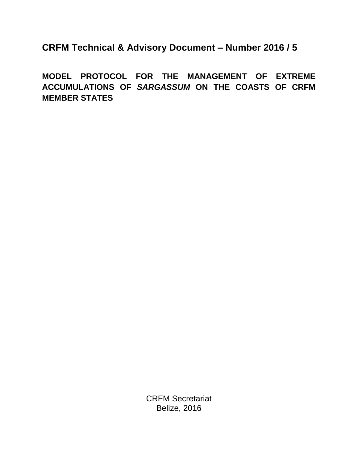**CRFM Technical & Advisory Document – Number 2016 / 5**

**MODEL PROTOCOL FOR THE MANAGEMENT OF EXTREME ACCUMULATIONS OF** *SARGASSUM* **ON THE COASTS OF CRFM MEMBER STATES**

> CRFM Secretariat Belize, 2016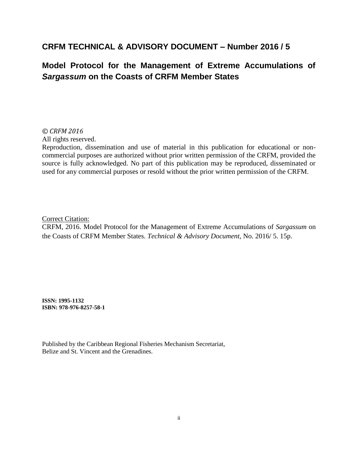# **CRFM TECHNICAL & ADVISORY DOCUMENT – Number 2016 / 5**

# **Model Protocol for the Management of Extreme Accumulations of**  *Sargassum* **on the Coasts of CRFM Member States**

*© CRFM 2016*

All rights reserved.

Reproduction, dissemination and use of material in this publication for educational or noncommercial purposes are authorized without prior written permission of the CRFM, provided the source is fully acknowledged. No part of this publication may be reproduced, disseminated or used for any commercial purposes or resold without the prior written permission of the CRFM.

Correct Citation:

CRFM, 2016. Model Protocol for the Management of Extreme Accumulations of *Sargassum* on the Coasts of CRFM Member States. *Technical & Advisory Document*, No. 2016/ 5. 15p.

**ISSN: 1995-1132 ISBN: 978-976-8257-58-1**

Published by the Caribbean Regional Fisheries Mechanism Secretariat, Belize and St. Vincent and the Grenadines.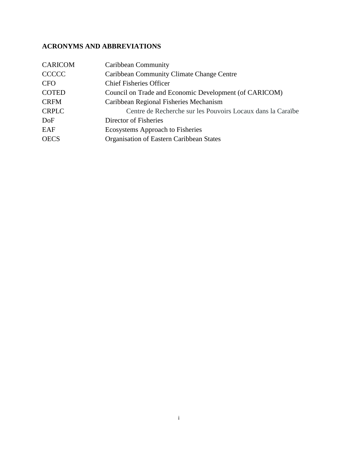# <span id="page-3-0"></span>**ACRONYMS AND ABBREVIATIONS**

| <b>CARICOM</b> | Caribbean Community                                         |
|----------------|-------------------------------------------------------------|
| <b>CCCCC</b>   | Caribbean Community Climate Change Centre                   |
| <b>CFO</b>     | <b>Chief Fisheries Officer</b>                              |
| <b>COTED</b>   | Council on Trade and Economic Development (of CARICOM)      |
| <b>CRFM</b>    | Caribbean Regional Fisheries Mechanism                      |
| <b>CRPLC</b>   | Centre de Recherche sur les Pouvoirs Locaux dans la Caraïbe |
| DoF            | Director of Fisheries                                       |
| EAF            | <b>Ecosystems Approach to Fisheries</b>                     |
| <b>OECS</b>    | Organisation of Eastern Caribbean States                    |
|                |                                                             |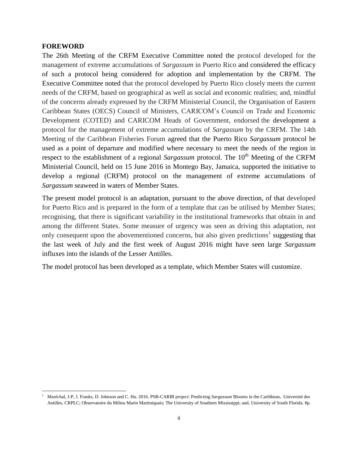#### <span id="page-4-0"></span>**FOREWORD**

 $\overline{\phantom{a}}$ 

The 26th Meeting of the CRFM Executive Committee noted the protocol developed for the management of extreme accumulations of *Sargassum* in Puerto Rico and considered the efficacy of such a protocol being considered for adoption and implementation by the CRFM. The Executive Committee noted that the protocol developed by Puerto Rico closely meets the current needs of the CRFM, based on geographical as well as social and economic realities; and, mindful of the concerns already expressed by the CRFM Ministerial Council, the Organisation of Eastern Caribbean States (OECS) Council of Ministers, CARICOM's Council on Trade and Economic Development (COTED) and CARICOM Heads of Government, endorsed the development a protocol for the management of extreme accumulations of *Sargassum* by the CRFM. The 14th Meeting of the Caribbean Fisheries Forum agreed that the Puerto Rico *Sargassum* protocol be used as a point of departure and modified where necessary to meet the needs of the region in respect to the establishment of a regional *Sargassum* protocol. The 10<sup>th</sup> Meeting of the CRFM Ministerial Council, held on 15 June 2016 in Montego Bay, Jamaica, supported the initiative to develop a regional (CRFM) protocol on the management of extreme accumulations of *Sargassum* seaweed in waters of Member States.

The present model protocol is an adaptation, pursuant to the above direction, of that developed for Puerto Rico and is prepared in the form of a template that can be utilised by Member States; recognising, that there is significant variability in the institutional frameworks that obtain in and among the different States. Some measure of urgency was seen as driving this adaptation, not only consequent upon the abovementioned concerns, but also given predictions<sup>1</sup> suggesting that the last week of July and the first week of August 2016 might have seen large *Sargassum* influxes into the islands of the Lesser Antilles.

The model protocol has been developed as a template, which Member States will customize.

<sup>1</sup> Maréchal, J-P, J. Franks, D. Johnson and C. Hu. 2016. PSB-CARIB project: Predicting *Sargassum* Blooms in the Caribbean**.** Université des Antilles, CRPLC; Observatoire du Milieu Marin Martiniquais; The University of Southern Mississippi; and, University of South Florida. 8p.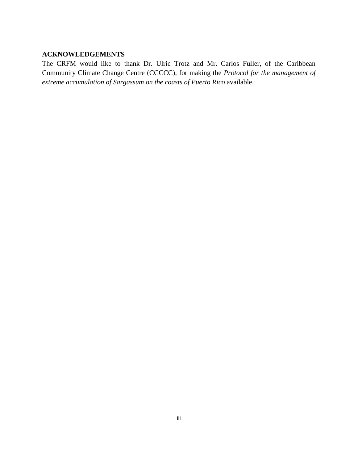#### <span id="page-5-0"></span>**ACKNOWLEDGEMENTS**

The CRFM would like to thank Dr. Ulric Trotz and Mr. Carlos Fuller, of the Caribbean Community Climate Change Centre (CCCCC), for making the *Protocol for the management of extreme accumulation of Sargassum on the coasts of Puerto Rico* available.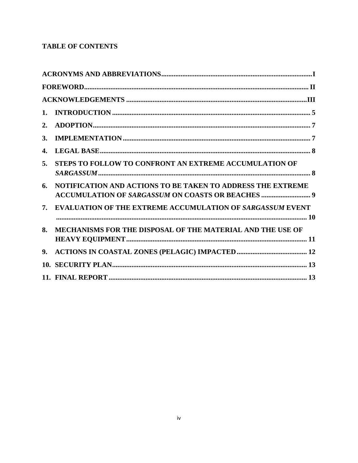# **TABLE OF CONTENTS**

|    | ${\bf FOREWORD.}\hspace{1cm} \vspace{1.5mm} {\bf I}$             |
|----|------------------------------------------------------------------|
|    |                                                                  |
| 1. |                                                                  |
| 2. |                                                                  |
| 3. |                                                                  |
| 4. |                                                                  |
| 5. | STEPS TO FOLLOW TO CONFRONT AN EXTREME ACCUMULATION OF           |
| 6. | NOTIFICATION AND ACTIONS TO BE TAKEN TO ADDRESS THE EXTREME      |
| 7. | <b>EVALUATION OF THE EXTREME ACCUMULATION OF SARGASSUM EVENT</b> |
| 8. | MECHANISMS FOR THE DISPOSAL OF THE MATERIAL AND THE USE OF       |
| 9. |                                                                  |
|    |                                                                  |
|    |                                                                  |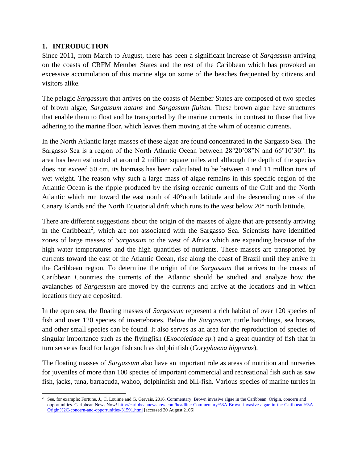# <span id="page-7-0"></span>**1. INTRODUCTION**

Since 2011, from March to August, there has been a significant increase of *Sargassum* arriving on the coasts of CRFM Member States and the rest of the Caribbean which has provoked an excessive accumulation of this marine alga on some of the beaches frequented by citizens and visitors alike.

The pelagic *Sargassum* that arrives on the coasts of Member States are composed of two species of brown algae, *Sargassum natans* and *Sargassum fluitan.* These brown algae have structures that enable them to float and be transported by the marine currents, in contrast to those that live adhering to the marine floor, which leaves them moving at the whim of oceanic currents.

In the North Atlantic large masses of these algae are found concentrated in the Sargasso Sea. The Sargasso Sea is a region of the North Atlantic Ocean between 28°20'08"N and 66°10'30". Its area has been estimated at around 2 million square miles and although the depth of the species does not exceed 50 cm, its biomass has been calculated to be between 4 and 11 million tons of wet weight. The reason why such a large mass of algae remains in this specific region of the Atlantic Ocean is the ripple produced by the rising oceanic currents of the Gulf and the North Atlantic which run toward the east north of 40°north latitude and the descending ones of the Canary Islands and the North Equatorial drift which runs to the west below 20° north latitude.

There are different suggestions about the origin of the masses of algae that are presently arriving in the Caribbean<sup>2</sup>, which are not associated with the Sargasso Sea. Scientists have identified zones of large masses of *Sargassum* to the west of Africa which are expanding because of the high water temperatures and the high quantities of nutrients. These masses are transported by currents toward the east of the Atlantic Ocean, rise along the coast of Brazil until they arrive in the Caribbean region. To determine the origin of the *Sargassum* that arrives to the coasts of Caribbean Countries the currents of the Atlantic should be studied and analyze how the avalanches of *Sargassum* are moved by the currents and arrive at the locations and in which locations they are deposited.

In the open sea, the floating masses of *Sargassum* represent a rich habitat of over 120 species of fish and over 120 species of invertebrates. Below the *Sargassum*, turtle hatchlings, sea horses, and other small species can be found. It also serves as an area for the reproduction of species of singular importance such as the flyingfish (*Exocoietidae sp.*) and a great quantity of fish that in turn serve as food for larger fish such as dolphinfish (*Coryphaena hippurus*).

The floating masses of *Sargassum* also have an important role as areas of nutrition and nurseries for juveniles of more than 100 species of important commercial and recreational fish such as saw fish, jacks, tuna, barracuda, wahoo, dolphinfish and bill-fish. Various species of marine turtles in

<sup>&</sup>lt;sup>2</sup> See, for example: Fortune, J., C. Louime and G, Gervais, 2016. Commentary: Brown invasive algae in the Caribbean: Origin, concern and opportunities. Caribbean News Now[! http://caribbeannewsnow.com/headline-Commentary%3A-Brown-invasive-algae-in-the-Caribbean%3A-](http://caribbeannewsnow.com/headline-Commentary%3A-Brown-invasive-algae-in-the-Caribbean%3A-Origin%2C-concern-and-opportunities-31591.html)[Origin%2C-concern-and-opportunities-31591.html](http://caribbeannewsnow.com/headline-Commentary%3A-Brown-invasive-algae-in-the-Caribbean%3A-Origin%2C-concern-and-opportunities-31591.html) [accessed 30 August 2106]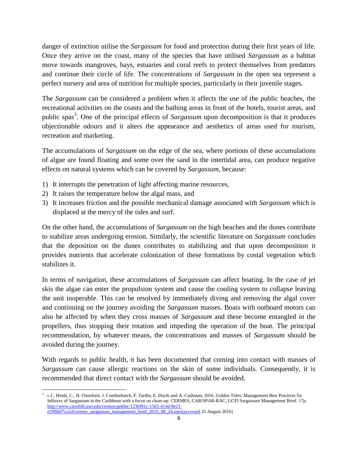danger of extinction utilise the *Sargassum* for food and protection during their first years of life. Once they arrive on the coast, many of the species that have utilised *Sargassum* as a habitat move towards mangroves, bays, estuaries and coral reefs to protect themselves from predators and continue their circle of life. The concentrations of *Sargassum* in the open sea represent a perfect nursery and area of nutrition for multiple species, particularly in their juvenile stages.

The *Sargassum* can be considered a problem when it affects the use of the public beaches, the recreational activities on the coasts and the bathing areas in front of the hotels, tourist areas, and public spas<sup>3</sup>. One of the principal effects of *Sargassum* upon decomposition is that it produces objectionable odours and it alters the appearance and aesthetics of areas used for tourism, recreation and marketing.

The accumulations of *Sargassum* on the edge of the sea, where portions of these accumulations of algae are found floating and some over the sand in the intertidal area, can produce negative effects on natural systems which can be covered by *Sargassum*, because:

- 1) It interrupts the penetration of light affecting marine resources,
- 2) It raises the temperature below the algal mass, and
- 3) It increases friction and the possible mechanical damage associated with *Sargassum* which is displaced at the mercy of the tides and surf.

On the other hand, the accumulations of *Sargassum* on the high beaches and the dunes contribute to stabilize areas undergoing erosion. Similarly, the scientific literature on *Sargassum* concludes that the deposition on the dunes contributes to stabilizing and that upon decomposition it provides nutrients that accelerate colonization of these formations by costal vegetation which stabilizes it.

In terms of navigation, these accumulations of *Sargassum* can affect boating. In the case of jet skis the algae can enter the propulsion system and cause the cooling system to collapse leaving the unit inoperable. This can be resolved by immediately diving and removing the algal cover and continuing on the journey avoiding the *Sargassum* masses. Boats with outboard motors can also be affected by when they cross masses of *Sargassum* and these become entangled in the propellers, thus stopping their rotation and impeding the operation of the boat. The principal recommendation, by whatever means, the concentrations and masses of *Sargassum* should be avoided during the journey.

With regards to public health, it has been documented that coming into contact with masses of *Sargassum* can cause allergic reactions on the skin of some individuals. Consequently, it is recommended that direct contact with the *Sargassum* should be avoided.

 $\overline{\phantom{a}}$ 3 c.f.: Hinds, C., H. Oxenford, J. Cumberbatch, F. Fardin, E. Doyle and A. Cashman, 2016. Golden Tides: Management Best Practices for Influxes of Sargassum in the Caribbean with a focus on clean-up. CERMES, CAR/SPAR-RAC, GCFI Sargassum Management Brief. 17p. [http://www.cavehill.uwi.edu/cermes/getdoc/123bf91c-1565-414d-8e21](http://www.cavehill.uwi.edu/cermes/getdoc/123bf91c-1565-414d-8e21-e59fb6f7ca2d/cermes_sargassum_management_brief_2016_08_24.aspx%5baccessed) [e59fb6f7ca2d/cermes\\_sargassum\\_management\\_brief\\_2016\\_08\\_24.aspx\[accessed](http://www.cavehill.uwi.edu/cermes/getdoc/123bf91c-1565-414d-8e21-e59fb6f7ca2d/cermes_sargassum_management_brief_2016_08_24.aspx%5baccessed) 25 August 2016]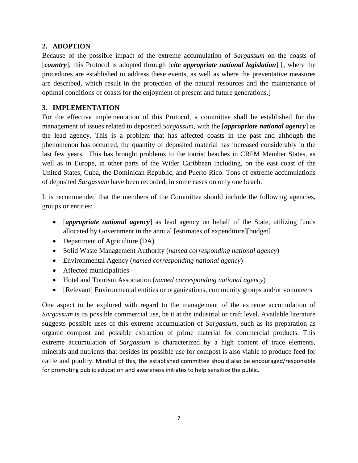#### <span id="page-9-0"></span>**2. ADOPTION**

Because of the possible impact of the extreme accumulation of *Sargassum* on the coasts of [*country*], this Protocol is adopted through [*cite appropriate national legislation*] [, where the procedures are established to address these events, as well as where the preventative measures are described, which result in the protection of the natural resources and the maintenance of optimal conditions of coasts for the enjoyment of present and future generations.]

#### <span id="page-9-1"></span>**3. IMPLEMENTATION**

For the effective implementation of this Protocol, a committee shall be established for the management of issues related to deposited *Sargassum*, with the [*appropriate national agency*] as the lead agency. This is a problem that has affected coasts in the past and although the phenomenon has occurred, the quantity of deposited material has increased considerably in the last few years. This has brought problems to the tourist beaches in CRFM Member States, as well as in Europe, in other parts of the Wider Caribbean including, on the east coast of the United States, Cuba, the Dominican Republic, and Puerto Rico. Tons of extreme accumulations of deposited *Sargassum* have been recorded, in some cases on only one beach.

It is recommended that the members of the Committee should include the following agencies, groups or entities:

- *[appropriate national agency*] as lead agency on behalf of the State, utilizing funds allocated by Government in the annual [estimates of expenditure][budget]
- Department of Agriculture (DA)
- Solid Waste Management Authority (*named corresponding national agency*)
- Environmental Agency (*named corresponding national agency*)
- Affected municipalities
- Hotel and Tourism Association (*named corresponding national agency*)
- [Relevant] Environmental entities or organizations, community groups and/or volunteers

One aspect to be explored with regard to the management of the extreme accumulation of *Sargassum* is its possible commercial use, be it at the industrial or craft level. Available literature suggests possible uses of this extreme accumulation of *Sargassum*, such as its preparation as organic compost and possible extraction of prime material for commercial products. This extreme accumulation of *Sargassum* is characterized by a high content of trace elements, minerals and nutrients that besides its possible use for compost is also viable to produce feed for cattle and poultry. Mindful of this, the established committee should also be encouraged/responsible for promoting public education and awareness initiates to help sensitize the public.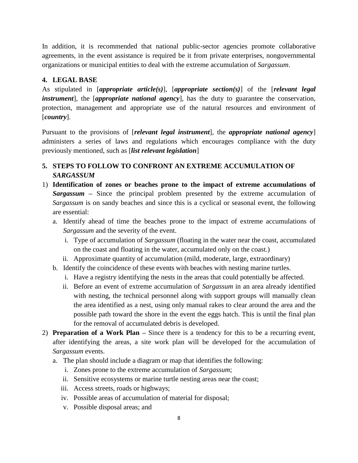In addition, it is recommended that national public-sector agencies promote collaborative agreements, in the event assistance is required be it from private enterprises, nongovernmental organizations or municipal entities to deal with the extreme accumulation of *Sargassum*.

#### <span id="page-10-0"></span>**4. LEGAL BASE**

As stipulated in [*appropriate article(s)*], [*appropriate section(s)*] of the [*relevant legal instrument*], the [*appropriate national agency*], has the duty to guarantee the conservation, protection, management and appropriate use of the natural resources and environment of [*country*].

Pursuant to the provisions of [*relevant legal instrument*]*,* the *appropriate national agency*] administers a series of laws and regulations which encourages compliance with the duty previously mentioned, such as [*list relevant legislation*]

# <span id="page-10-1"></span>**5. STEPS TO FOLLOW TO CONFRONT AN EXTREME ACCUMULATION OF**  *SARGASSUM*

- 1) **Identification of zones or beaches prone to the impact of extreme accumulations of**  *Sargassum* **–** Since the principal problem presented by the extreme accumulation of *Sargassum* is on sandy beaches and since this is a cyclical or seasonal event, the following are essential:
	- a. Identify ahead of time the beaches prone to the impact of extreme accumulations of *Sargassum* and the severity of the event.
		- i. Type of accumulation of *Sargassum* (floating in the water near the coast, accumulated on the coast and floating in the water, accumulated only on the coast.)
		- ii. Approximate quantity of accumulation (mild, moderate, large, extraordinary)
	- b. Identify the coincidence of these events with beaches with nesting marine turtles.
		- i. Have a registry identifying the nests in the areas that could potentially be affected.
		- ii. Before an event of extreme accumulation of *Sargassum* in an area already identified with nesting, the technical personnel along with support groups will manually clean the area identified as a nest, using only manual rakes to clear around the area and the possible path toward the shore in the event the eggs hatch. This is until the final plan for the removal of accumulated debris is developed.
- 2) **Preparation of a Work Plan –** Since there is a tendency for this to be a recurring event, after identifying the areas, a site work plan will be developed for the accumulation of *Sargassum* events.
	- a. The plan should include a diagram or map that identifies the following:
		- i. Zones prone to the extreme accumulation of *Sargassum*;
		- ii. Sensitive ecosystems or marine turtle nesting areas near the coast;
		- iii. Access streets, roads or highways;
		- iv. Possible areas of accumulation of material for disposal;
		- v. Possible disposal areas; and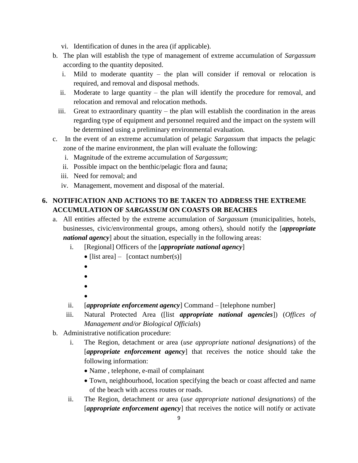- vi. Identification of dunes in the area (if applicable).
- b. The plan will establish the type of management of extreme accumulation of *Sargassum* according to the quantity deposited.
	- i. Mild to moderate quantity the plan will consider if removal or relocation is required, and removal and disposal methods.
	- ii. Moderate to large quantity the plan will identify the procedure for removal, and relocation and removal and relocation methods.
	- iii. Great to extraordinary quantity the plan will establish the coordination in the areas regarding type of equipment and personnel required and the impact on the system will be determined using a preliminary environmental evaluation.
- c. In the event of an extreme accumulation of pelagic *Sargassum* that impacts the pelagic zone of the marine environment, the plan will evaluate the following:
	- i. Magnitude of the extreme accumulation of *Sargassum*;
	- ii. Possible impact on the benthic/pelagic flora and fauna;
	- iii. Need for removal; and
	- iv. Management, movement and disposal of the material.

# <span id="page-11-0"></span>**6. NOTIFICATION AND ACTIONS TO BE TAKEN TO ADDRESS THE EXTREME ACCUMULATION OF** *SARGASSUM* **ON COASTS OR BEACHES**

- a. All entities affected by the extreme accumulation of *Sargassum* (municipalities, hotels, businesses, civic/environmental groups, among others), should notify the [*appropriate national agency*] about the situation, especially in the following areas:
	- i. [Regional] Officers of the [*appropriate national agency*]
		- [list area] [contact number(s)]
		- $\bullet$
		- $\bullet$
		- $\bullet$
		- $\bullet$
	- ii. [*appropriate enforcement agency*] Command [telephone number]
	- iii. Natural Protected Area ([list *appropriate national agencies*]) (*Offices of Management and/or Biological Officials*)
- b. Administrative notification procedure:
	- i. The Region, detachment or area (*use appropriate national designations*) of the [*appropriate enforcement agency*] that receives the notice should take the following information:
		- Name , telephone, e-mail of complainant
		- Town, neighbourhood, location specifying the beach or coast affected and name of the beach with access routes or roads.
	- ii. The Region, detachment or area (*use appropriate national designations*) of the [*appropriate enforcement agency*] that receives the notice will notify or activate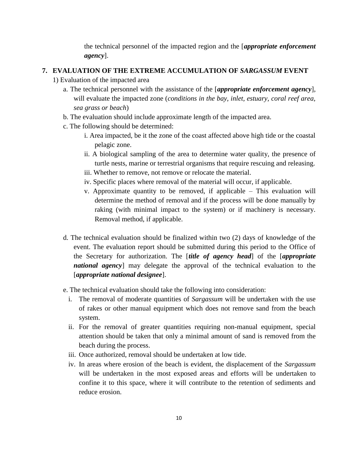the technical personnel of the impacted region and the [*appropriate enforcement agency*].

#### <span id="page-12-0"></span>**7. EVALUATION OF THE EXTREME ACCUMULATION OF** *SARGASSUM* **EVENT**

- 1) Evaluation of the impacted area
	- a. The technical personnel with the assistance of the [*appropriate enforcement agency*], will evaluate the impacted zone (*conditions in the bay, inlet, estuary, coral reef area, sea grass or beach*)
	- b. The evaluation should include approximate length of the impacted area.
	- c. The following should be determined:
		- i. Area impacted, be it the zone of the coast affected above high tide or the coastal pelagic zone.
		- ii. A biological sampling of the area to determine water quality, the presence of turtle nests, marine or terrestrial organisms that require rescuing and releasing.
		- iii. Whether to remove, not remove or relocate the material.
		- iv. Specific places where removal of the material will occur, if applicable.
		- v. Approximate quantity to be removed, if applicable This evaluation will determine the method of removal and if the process will be done manually by raking (with minimal impact to the system) or if machinery is necessary. Removal method, if applicable.
	- d. The technical evaluation should be finalized within two (2) days of knowledge of the event. The evaluation report should be submitted during this period to the Office of the Secretary for authorization. The [*title of agency head*] of the [*appropriate national agency*] may delegate the approval of the technical evaluation to the [*appropriate national designee*].
	- e. The technical evaluation should take the following into consideration:
		- i. The removal of moderate quantities of *Sargassum* will be undertaken with the use of rakes or other manual equipment which does not remove sand from the beach system.
		- ii. For the removal of greater quantities requiring non-manual equipment, special attention should be taken that only a minimal amount of sand is removed from the beach during the process.
		- iii. Once authorized, removal should be undertaken at low tide.
		- iv. In areas where erosion of the beach is evident, the displacement of the *Sargassum* will be undertaken in the most exposed areas and efforts will be undertaken to confine it to this space, where it will contribute to the retention of sediments and reduce erosion.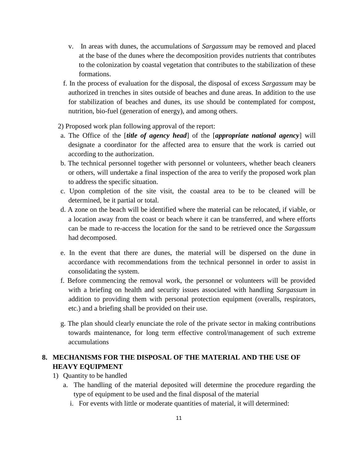- v. In areas with dunes, the accumulations of *Sargassum* may be removed and placed at the base of the dunes where the decomposition provides nutrients that contributes to the colonization by coastal vegetation that contributes to the stabilization of these formations.
- f. In the process of evaluation for the disposal, the disposal of excess *Sargassum* may be authorized in trenches in sites outside of beaches and dune areas. In addition to the use for stabilization of beaches and dunes, its use should be contemplated for compost, nutrition, bio-fuel (generation of energy), and among others.

2) Proposed work plan following approval of the report:

- a. The Office of the [*title of agency head*] of the [*appropriate national agency*] will designate a coordinator for the affected area to ensure that the work is carried out according to the authorization.
- b. The technical personnel together with personnel or volunteers, whether beach cleaners or others, will undertake a final inspection of the area to verify the proposed work plan to address the specific situation.
- c. Upon completion of the site visit, the coastal area to be to be cleaned will be determined, be it partial or total.
- d. A zone on the beach will be identified where the material can be relocated, if viable, or a location away from the coast or beach where it can be transferred, and where efforts can be made to re-access the location for the sand to be retrieved once the *Sargassum*  had decomposed.
- e. In the event that there are dunes, the material will be dispersed on the dune in accordance with recommendations from the technical personnel in order to assist in consolidating the system.
- f. Before commencing the removal work, the personnel or volunteers will be provided with a briefing on health and security issues associated with handling *Sargassum* in addition to providing them with personal protection equipment (overalls, respirators, etc.) and a briefing shall be provided on their use.
- g. The plan should clearly enunciate the role of the private sector in making contributions towards maintenance, for long term effective control/management of such extreme accumulations

# <span id="page-13-0"></span>**8. MECHANISMS FOR THE DISPOSAL OF THE MATERIAL AND THE USE OF HEAVY EQUIPMENT**

- 1) Quantity to be handled
	- a. The handling of the material deposited will determine the procedure regarding the type of equipment to be used and the final disposal of the material
		- i. For events with little or moderate quantities of material, it will determined: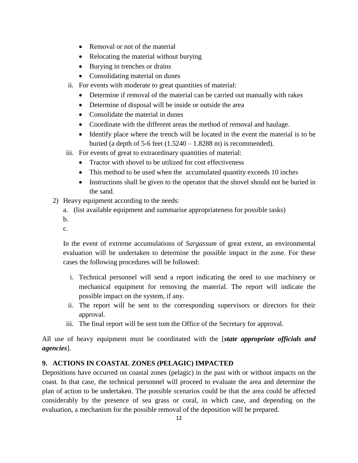- Removal or not of the material
- Relocating the material without burying
- Burying in trenches or drains
- Consolidating material on dunes
- ii. For events with moderate to great quantities of material:
	- Determine if removal of the material can be carried out manually with rakes
	- Determine of disposal will be inside or outside the area
	- Consolidate the material in dunes
	- Coordinate with the different areas the method of removal and haulage.
	- Identify place where the trench will be located in the event the material is to be buried (a depth of 5-6 feet  $(1.5240 - 1.8288 \text{ m})$  is recommended).
- iii. For events of great to extraordinary quantities of material:
	- Tractor with shovel to be utilized for cost effectiveness
	- This method to be used when the accumulated quantity exceeds 10 inches
	- Instructions shall be given to the operator that the shovel should not be buried in the sand.
- 2) Heavy equipment according to the needs:
	- a. (list available equipment and summarise appropriateness for possible tasks)
	- b.
	- c.

In the event of extreme accumulations of *Sargassum* of great extent, an environmental evaluation will be undertaken to determine the possible impact in the zone. For these cases the following procedures will be followed:

- i. Technical personnel will send a report indicating the need to use machinery or mechanical equipment for removing the material. The report will indicate the possible impact on the system, if any.
- ii. The report will be sent to the corresponding supervisors or directors for their approval.
- iii. The final report will be sent tom the Office of the Secretary for approval.

All use of heavy equipment must be coordinated with the [*state appropriate officials and agencies*].

#### <span id="page-14-0"></span>**9. ACTIONS IN COASTAL ZONES (PELAGIC) IMPACTED**

Depositions have occurred on coastal zones (pelagic) in the past with or without impacts on the coast. In that case, the technical personnel will proceed to evaluate the area and determine the plan of action to be undertaken. The possible scenarios could be that the area could be affected considerably by the presence of sea grass or coral, in which case, and depending on the evaluation, a mechanism for the possible removal of the deposition will be prepared.